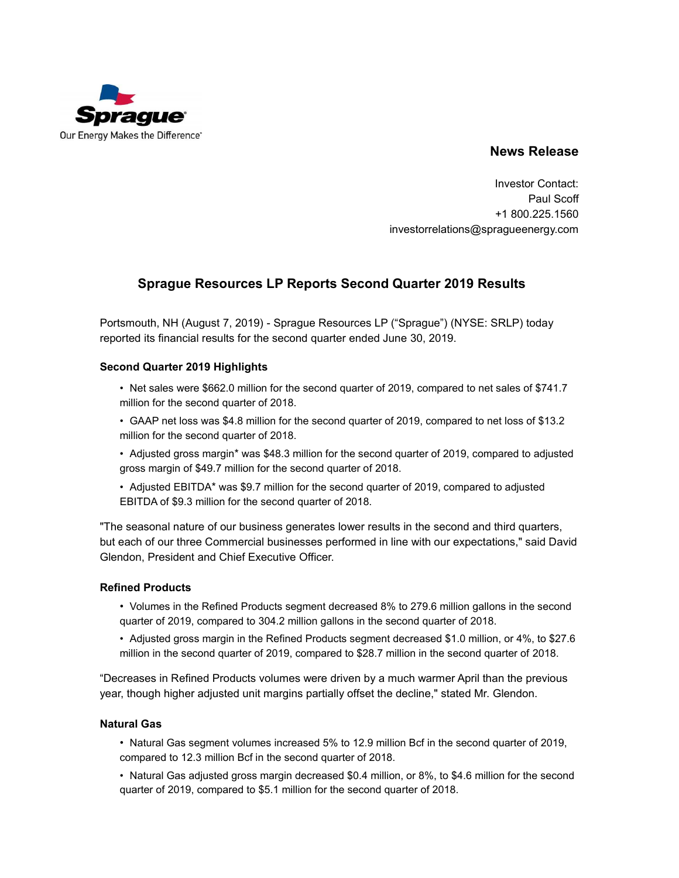

**News Release**

Investor Contact: Paul Scoff +1 800.225.1560 investorrelations@spragueenergy.com

# **Sprague Resources LP Reports Second Quarter 2019 Results**

Portsmouth, NH (August 7, 2019) - Sprague Resources LP ("Sprague") (NYSE: SRLP) today reported its financial results for the second quarter ended June 30, 2019.

### **Second Quarter 2019 Highlights**

- Net sales were \$662.0 million for the second quarter of 2019, compared to net sales of \$741.7 million for the second quarter of 2018.
- GAAP net loss was \$4.8 million for the second quarter of 2019, compared to net loss of \$13.2 million for the second quarter of 2018.
- Adjusted gross margin\* was \$48.3 million for the second quarter of 2019, compared to adjusted gross margin of \$49.7 million for the second quarter of 2018.
- Adjusted EBITDA\* was \$9.7 million for the second quarter of 2019, compared to adjusted EBITDA of \$9.3 million for the second quarter of 2018.

"The seasonal nature of our business generates lower results in the second and third quarters, but each of our three Commercial businesses performed in line with our expectations," said David Glendon, President and Chief Executive Officer.

#### **Refined Products**

- Volumes in the Refined Products segment decreased 8% to 279.6 million gallons in the second quarter of 2019, compared to 304.2 million gallons in the second quarter of 2018.
- Adjusted gross margin in the Refined Products segment decreased \$1.0 million, or 4%, to \$27.6 million in the second quarter of 2019, compared to \$28.7 million in the second quarter of 2018.

"Decreases in Refined Products volumes were driven by a much warmer April than the previous year, though higher adjusted unit margins partially offset the decline," stated Mr. Glendon.

#### **Natural Gas**

- Natural Gas segment volumes increased 5% to 12.9 million Bcf in the second quarter of 2019, compared to 12.3 million Bcf in the second quarter of 2018.
- Natural Gas adjusted gross margin decreased \$0.4 million, or 8%, to \$4.6 million for the second quarter of 2019, compared to \$5.1 million for the second quarter of 2018.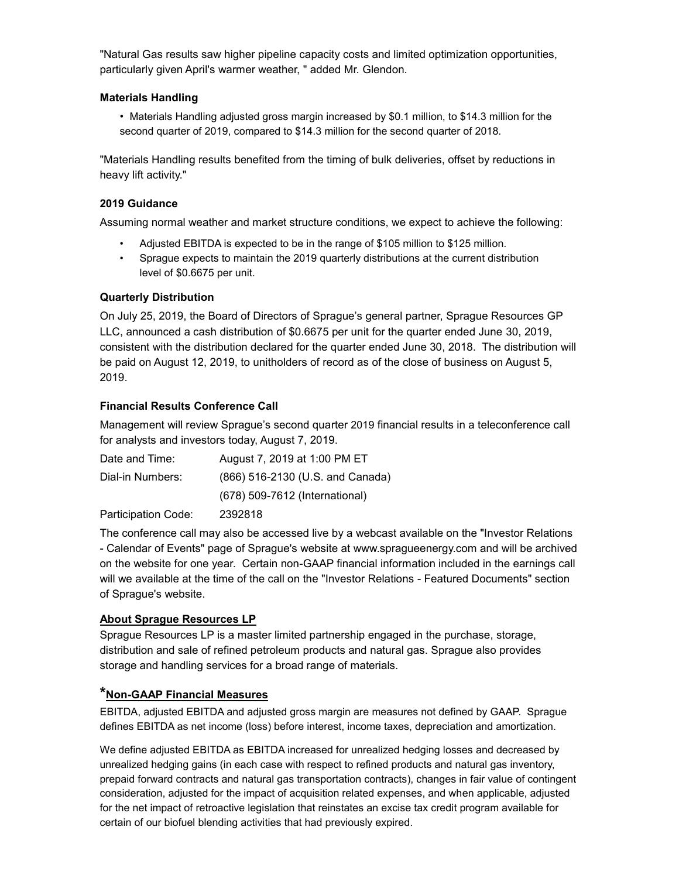"Natural Gas results saw higher pipeline capacity costs and limited optimization opportunities, particularly given April's warmer weather, " added Mr. Glendon.

### **Materials Handling**

• Materials Handling adjusted gross margin increased by \$0.1 million, to \$14.3 million for the second quarter of 2019, compared to \$14.3 million for the second quarter of 2018.

"Materials Handling results benefited from the timing of bulk deliveries, offset by reductions in heavy lift activity."

#### **2019 Guidance**

Assuming normal weather and market structure conditions, we expect to achieve the following:

- Adjusted EBITDA is expected to be in the range of \$105 million to \$125 million.
- Sprague expects to maintain the 2019 quarterly distributions at the current distribution level of \$0.6675 per unit.

### **Quarterly Distribution**

On July 25, 2019, the Board of Directors of Sprague's general partner, Sprague Resources GP LLC, announced a cash distribution of \$0.6675 per unit for the quarter ended June 30, 2019, consistent with the distribution declared for the quarter ended June 30, 2018. The distribution will be paid on August 12, 2019, to unitholders of record as of the close of business on August 5, 2019.

### **Financial Results Conference Call**

Management will review Sprague's second quarter 2019 financial results in a teleconference call for analysts and investors today, August 7, 2019.

| Date and Time:      | August 7, 2019 at 1:00 PM ET     |
|---------------------|----------------------------------|
| Dial-in Numbers:    | (866) 516-2130 (U.S. and Canada) |
|                     | (678) 509-7612 (International)   |
| Participation Code: | 2392818                          |

The conference call may also be accessed live by a webcast available on the "Investor Relations - Calendar of Events" page of Sprague's website at www.spragueenergy.com and will be archived on the website for one year. Certain non-GAAP financial information included in the earnings call will we available at the time of the call on the "Investor Relations - Featured Documents" section of Sprague's website.

### **About Sprague Resources LP**

Sprague Resources LP is a master limited partnership engaged in the purchase, storage, distribution and sale of refined petroleum products and natural gas. Sprague also provides storage and handling services for a broad range of materials.

### **\*Non-GAAP Financial Measures**

EBITDA, adjusted EBITDA and adjusted gross margin are measures not defined by GAAP. Sprague defines EBITDA as net income (loss) before interest, income taxes, depreciation and amortization.

We define adjusted EBITDA as EBITDA increased for unrealized hedging losses and decreased by unrealized hedging gains (in each case with respect to refined products and natural gas inventory, prepaid forward contracts and natural gas transportation contracts), changes in fair value of contingent consideration, adjusted for the impact of acquisition related expenses, and when applicable, adjusted for the net impact of retroactive legislation that reinstates an excise tax credit program available for certain of our biofuel blending activities that had previously expired.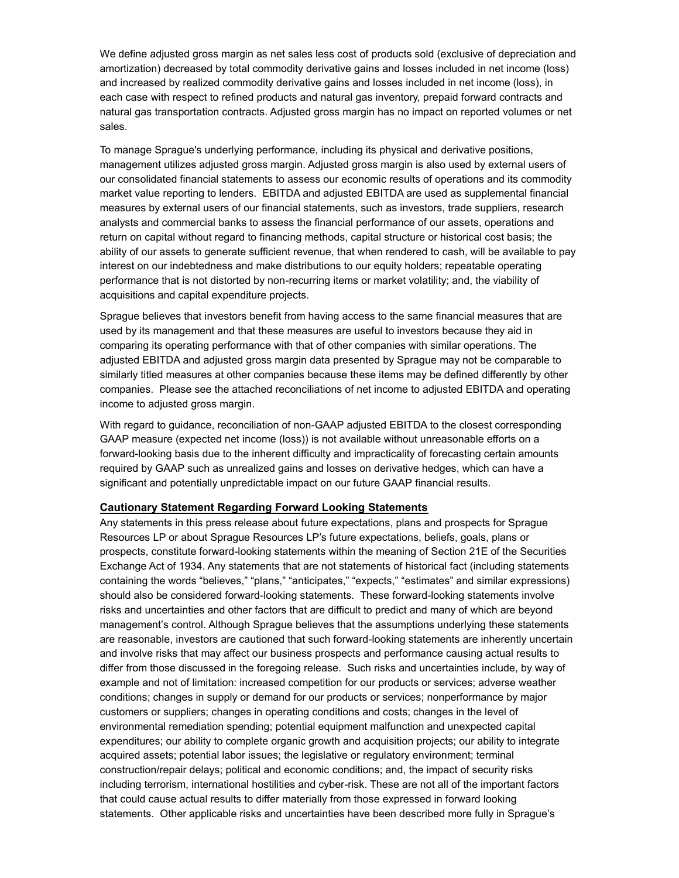We define adjusted gross margin as net sales less cost of products sold (exclusive of depreciation and amortization) decreased by total commodity derivative gains and losses included in net income (loss) and increased by realized commodity derivative gains and losses included in net income (loss), in each case with respect to refined products and natural gas inventory, prepaid forward contracts and natural gas transportation contracts. Adjusted gross margin has no impact on reported volumes or net sales.

To manage Sprague's underlying performance, including its physical and derivative positions, management utilizes adjusted gross margin. Adjusted gross margin is also used by external users of our consolidated financial statements to assess our economic results of operations and its commodity market value reporting to lenders. EBITDA and adjusted EBITDA are used as supplemental financial measures by external users of our financial statements, such as investors, trade suppliers, research analysts and commercial banks to assess the financial performance of our assets, operations and return on capital without regard to financing methods, capital structure or historical cost basis; the ability of our assets to generate sufficient revenue, that when rendered to cash, will be available to pay interest on our indebtedness and make distributions to our equity holders; repeatable operating performance that is not distorted by non-recurring items or market volatility; and, the viability of acquisitions and capital expenditure projects.

Sprague believes that investors benefit from having access to the same financial measures that are used by its management and that these measures are useful to investors because they aid in comparing its operating performance with that of other companies with similar operations. The adjusted EBITDA and adjusted gross margin data presented by Sprague may not be comparable to similarly titled measures at other companies because these items may be defined differently by other companies. Please see the attached reconciliations of net income to adjusted EBITDA and operating income to adjusted gross margin.

With regard to guidance, reconciliation of non-GAAP adjusted EBITDA to the closest corresponding GAAP measure (expected net income (loss)) is not available without unreasonable efforts on a forward-looking basis due to the inherent difficulty and impracticality of forecasting certain amounts required by GAAP such as unrealized gains and losses on derivative hedges, which can have a significant and potentially unpredictable impact on our future GAAP financial results.

#### **Cautionary Statement Regarding Forward Looking Statements**

Any statements in this press release about future expectations, plans and prospects for Sprague Resources LP or about Sprague Resources LP's future expectations, beliefs, goals, plans or prospects, constitute forward-looking statements within the meaning of Section 21E of the Securities Exchange Act of 1934. Any statements that are not statements of historical fact (including statements containing the words "believes," "plans," "anticipates," "expects," "estimates" and similar expressions) should also be considered forward-looking statements. These forward-looking statements involve risks and uncertainties and other factors that are difficult to predict and many of which are beyond management's control. Although Sprague believes that the assumptions underlying these statements are reasonable, investors are cautioned that such forward-looking statements are inherently uncertain and involve risks that may affect our business prospects and performance causing actual results to differ from those discussed in the foregoing release. Such risks and uncertainties include, by way of example and not of limitation: increased competition for our products or services; adverse weather conditions; changes in supply or demand for our products or services; nonperformance by major customers or suppliers; changes in operating conditions and costs; changes in the level of environmental remediation spending; potential equipment malfunction and unexpected capital expenditures; our ability to complete organic growth and acquisition projects; our ability to integrate acquired assets; potential labor issues; the legislative or regulatory environment; terminal construction/repair delays; political and economic conditions; and, the impact of security risks including terrorism, international hostilities and cyber-risk. These are not all of the important factors that could cause actual results to differ materially from those expressed in forward looking statements. Other applicable risks and uncertainties have been described more fully in Sprague's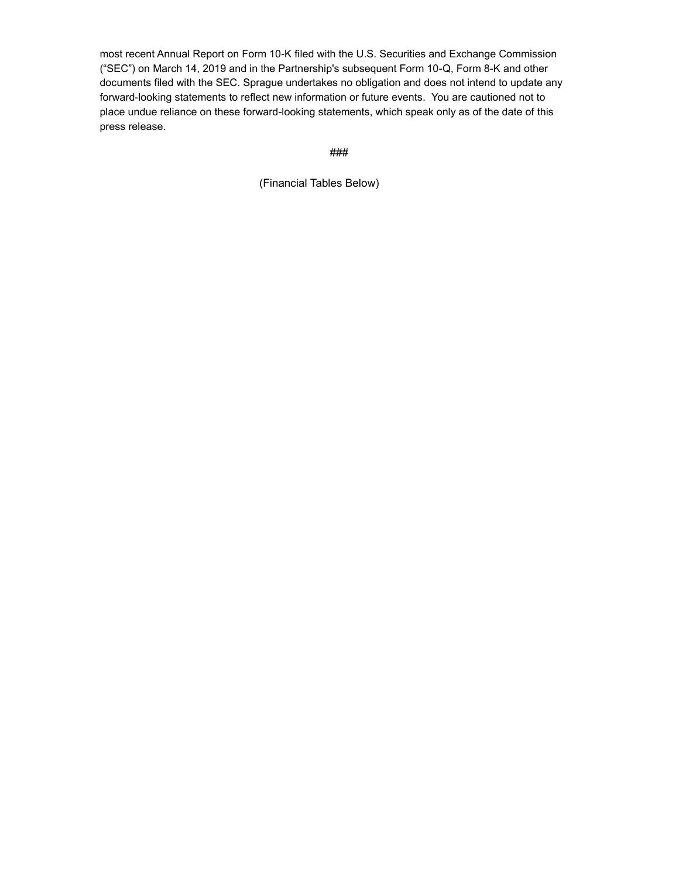most recent Annual Report on Form 10-K filed with the U.S. Securities and Exchange Commission ("SEC") on March 14, 2019 and in the Partnership's subsequent Form 10-Q, Form 8-K and other documents filed with the SEC. Sprague undertakes no obligation and does not intend to update any forward-looking statements to reflect new information or future events. You are cautioned not to place undue reliance on these forward-looking statements, which speak only as of the date of this press release.

###

(Financial Tables Below)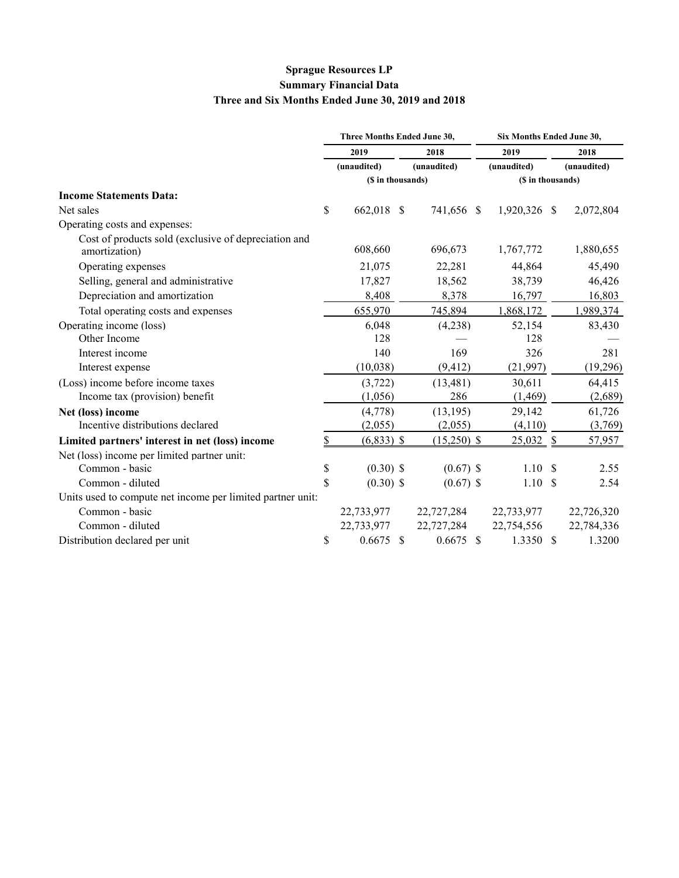# **Sprague Resources LP Summary Financial Data Three and Six Months Ended June 30, 2019 and 2018**

| 2019<br>2018<br>2019<br>2018<br>(unaudited)<br>(unaudited)<br>(unaudited)<br>(unaudited)<br>(\$ in thousands)<br>(\$ in thousands)<br><b>Income Statements Data:</b><br>\$<br>662,018 \$<br>1,920,326 \$<br>Net sales<br>741,656 \$<br>2,072,804<br>Operating costs and expenses:<br>Cost of products sold (exclusive of depreciation and<br>608,660<br>1,880,655<br>696,673<br>1,767,772<br>amortization) | Six Months Ended June 30, |  |  |  |  |
|------------------------------------------------------------------------------------------------------------------------------------------------------------------------------------------------------------------------------------------------------------------------------------------------------------------------------------------------------------------------------------------------------------|---------------------------|--|--|--|--|
|                                                                                                                                                                                                                                                                                                                                                                                                            |                           |  |  |  |  |
|                                                                                                                                                                                                                                                                                                                                                                                                            |                           |  |  |  |  |
|                                                                                                                                                                                                                                                                                                                                                                                                            |                           |  |  |  |  |
|                                                                                                                                                                                                                                                                                                                                                                                                            |                           |  |  |  |  |
|                                                                                                                                                                                                                                                                                                                                                                                                            |                           |  |  |  |  |
|                                                                                                                                                                                                                                                                                                                                                                                                            |                           |  |  |  |  |
|                                                                                                                                                                                                                                                                                                                                                                                                            |                           |  |  |  |  |
|                                                                                                                                                                                                                                                                                                                                                                                                            |                           |  |  |  |  |
| 21,075<br>44,864<br>Operating expenses<br>22,281                                                                                                                                                                                                                                                                                                                                                           | 45,490                    |  |  |  |  |
| Selling, general and administrative<br>17,827<br>18,562<br>38,739                                                                                                                                                                                                                                                                                                                                          | 46,426                    |  |  |  |  |
| Depreciation and amortization<br>8,408<br>8,378<br>16,797                                                                                                                                                                                                                                                                                                                                                  | 16,803                    |  |  |  |  |
| Total operating costs and expenses<br>655,970<br>745,894<br>1,868,172<br>1,989,374                                                                                                                                                                                                                                                                                                                         |                           |  |  |  |  |
| Operating income (loss)<br>6,048<br>(4,238)<br>52,154                                                                                                                                                                                                                                                                                                                                                      | 83,430                    |  |  |  |  |
| Other Income<br>128<br>128                                                                                                                                                                                                                                                                                                                                                                                 |                           |  |  |  |  |
| Interest income<br>140<br>169<br>326                                                                                                                                                                                                                                                                                                                                                                       | 281                       |  |  |  |  |
| (10,038)<br>(9, 412)<br>(21, 997)<br>Interest expense                                                                                                                                                                                                                                                                                                                                                      | (19,296)                  |  |  |  |  |
| (Loss) income before income taxes<br>(13, 481)<br>30,611<br>(3, 722)                                                                                                                                                                                                                                                                                                                                       | 64,415                    |  |  |  |  |
| Income tax (provision) benefit<br>(1,056)<br>286<br>(1,469)                                                                                                                                                                                                                                                                                                                                                | (2,689)                   |  |  |  |  |
| 29,142<br>(4,778)<br>(13, 195)<br>Net (loss) income                                                                                                                                                                                                                                                                                                                                                        | 61,726                    |  |  |  |  |
| Incentive distributions declared<br>(2,055)<br>(2,055)<br>(4,110)                                                                                                                                                                                                                                                                                                                                          | (3,769)                   |  |  |  |  |
| $(6,833)$ \$<br>$(15,250)$ \$<br>$25,032$ \$<br>Limited partners' interest in net (loss) income<br>\$                                                                                                                                                                                                                                                                                                      | 57,957                    |  |  |  |  |
| Net (loss) income per limited partner unit:                                                                                                                                                                                                                                                                                                                                                                |                           |  |  |  |  |
| \$<br>$(0.30)$ \$<br>$(0.67)$ \$<br>Common - basic<br>1.10S                                                                                                                                                                                                                                                                                                                                                | 2.55                      |  |  |  |  |
| \$<br>$(0.30)$ \$<br>$(0.67)$ \$<br>Common - diluted<br>1.10S                                                                                                                                                                                                                                                                                                                                              | 2.54                      |  |  |  |  |
| Units used to compute net income per limited partner unit:                                                                                                                                                                                                                                                                                                                                                 |                           |  |  |  |  |
| Common - basic<br>22,733,977<br>22,727,284<br>22,733,977<br>22,726,320                                                                                                                                                                                                                                                                                                                                     |                           |  |  |  |  |
| Common - diluted<br>22,733,977<br>22,754,556<br>22,727,284<br>22,784,336                                                                                                                                                                                                                                                                                                                                   |                           |  |  |  |  |
| $0.6675$ \$<br>$0.6675$ \$<br>1.3350 S<br>\$<br>Distribution declared per unit                                                                                                                                                                                                                                                                                                                             | 1.3200                    |  |  |  |  |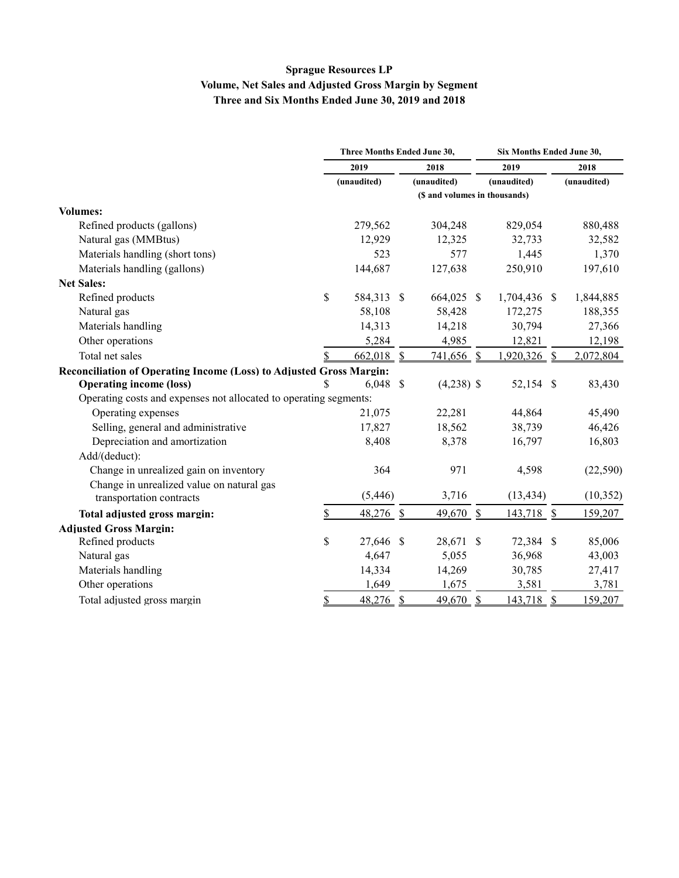# **Sprague Resources LP Volume, Net Sales and Adjusted Gross Margin by Segment Three and Six Months Ended June 30, 2019 and 2018**

|                                                                     |    | <b>Three Months Ended June 30,</b> |              |              | Six Months Ended June 30, |              |  |             |
|---------------------------------------------------------------------|----|------------------------------------|--------------|--------------|---------------------------|--------------|--|-------------|
|                                                                     |    | 2019                               |              | 2018         |                           | 2019         |  | 2018        |
|                                                                     |    | (unaudited)                        |              | (unaudited)  |                           | (unaudited)  |  | (unaudited) |
|                                                                     |    |                                    |              |              |                           |              |  |             |
| <b>Volumes:</b>                                                     |    |                                    |              |              |                           |              |  |             |
| Refined products (gallons)                                          |    | 279,562                            |              | 304,248      |                           | 829,054      |  | 880,488     |
| Natural gas (MMBtus)                                                |    | 12,929                             |              | 12,325       |                           | 32,733       |  | 32,582      |
| Materials handling (short tons)                                     |    | 523                                |              | 577          |                           | 1,445        |  | 1,370       |
| Materials handling (gallons)                                        |    | 144,687                            |              | 127,638      |                           | 250,910      |  | 197,610     |
| <b>Net Sales:</b>                                                   |    |                                    |              |              |                           |              |  |             |
| Refined products                                                    | \$ | 584,313                            | -S           | 664,025 \$   |                           | 1,704,436 \$ |  | 1,844,885   |
| Natural gas                                                         |    | 58,108                             |              | 58,428       |                           | 172,275      |  | 188,355     |
| Materials handling                                                  |    | 14,313                             |              | 14,218       |                           | 30,794       |  | 27,366      |
| Other operations                                                    |    | 5,284                              |              | 4,985        |                           | 12,821       |  | 12,198      |
| Total net sales                                                     |    | $662,018$ \$                       |              | 741,656 \$   |                           | 1,920,326 \$ |  | 2,072,804   |
| Reconciliation of Operating Income (Loss) to Adiusted Gross Margin: |    |                                    |              |              |                           |              |  |             |
| <b>Operating income (loss)</b>                                      | S  | 6,048                              | $\mathbb{S}$ | $(4,238)$ \$ |                           | 52,154 \$    |  | 83,430      |
| Operating costs and expenses not allocated to operating segments:   |    |                                    |              |              |                           |              |  |             |
| Operating expenses                                                  |    | 21,075                             |              | 22,281       |                           | 44,864       |  | 45,490      |
| Selling, general and administrative                                 |    | 17,827                             |              | 18,562       |                           | 38,739       |  | 46,426      |
| Depreciation and amortization                                       |    | 8,408                              |              | 8,378        |                           | 16,797       |  | 16,803      |
| Add/(deduct):                                                       |    |                                    |              |              |                           |              |  |             |
| Change in unrealized gain on inventory                              |    | 364                                |              | 971          |                           | 4,598        |  | (22, 590)   |
| Change in unrealized value on natural gas                           |    |                                    |              |              |                           |              |  |             |
| transportation contracts                                            |    | (5, 446)                           |              | 3,716        |                           | (13, 434)    |  | (10, 352)   |
| Total adjusted gross margin:                                        | \$ | $48,276$ \$                        |              | 49,670 \$    |                           | $143,718$ \$ |  | 159,207     |
| <b>Adjusted Gross Margin:</b>                                       |    |                                    |              |              |                           |              |  |             |
| Refined products                                                    | \$ | 27,646 \$                          |              | 28,671 \$    |                           | 72,384 \$    |  | 85,006      |
| Natural gas                                                         |    | 4,647                              |              | 5,055        |                           | 36,968       |  | 43,003      |
| Materials handling                                                  |    | 14,334                             |              | 14,269       |                           | 30,785       |  | 27,417      |
| Other operations                                                    |    | 1,649                              |              | 1,675        |                           | 3,581        |  | 3,781       |
| Total adjusted gross margin                                         | \$ | 48,276 \$                          |              | 49,670 \$    |                           | 143,718 \$   |  | 159,207     |